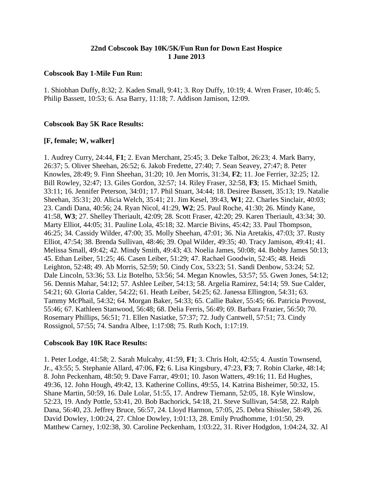# **22nd Cobscook Bay 10K/5K/Fun Run for Down East Hospice 1 June 2013**

#### **Cobscook Bay 1-Mile Fun Run:**

1. Shiobhan Duffy, 8:32; 2. Kaden Small, 9:41; 3. Roy Duffy, 10:19; 4. Wren Fraser, 10:46; 5. Philip Bassett, 10:53; 6. Asa Barry, 11:18; 7. Addison Jamison, 12:09.

### **Cobscook Bay 5K Race Results:**

# **[F, female; W, walker]**

1. Audrey Curry, 24:44, **F1**; 2. Evan Merchant, 25:45; 3. Deke Talbot, 26:23; 4. Mark Barry, 26:37; 5. Oliver Sheehan, 26:52; 6. Jakob Fredette, 27:40; 7. Sean Seavey, 27:47; 8. Peter Knowles, 28:49; 9. Finn Sheehan, 31:20; 10. Jen Morris, 31:34, **F2**; 11. Joe Ferrier, 32:25; 12. Bill Rowley, 32:47; 13. Giles Gordon, 32:57; 14. Riley Fraser, 32:58, **F3**; 15. Michael Smith, 33:11; 16. Jennifer Peterson, 34:01; 17. Phil Stuart, 34:44; 18. Desiree Bassett, 35:13; 19. Natalie Sheehan, 35:31; 20. Alicia Welch, 35:41; 21. Jim Kesel, 39:43, **W1**; 22. Charles Sinclair, 40:03; 23. Candi Dana, 40:56; 24. Ryan Nicol, 41:29, **W2**; 25. Paul Roche, 41:30; 26. Mindy Kane, 41:58, **W3**; 27. Shelley Theriault, 42:09; 28. Scott Fraser, 42:20; 29. Karen Theriault, 43:34; 30. Marty Elliot, 44:05; 31. Pauline Lola, 45:18; 32. Marcie Bivins, 45:42; 33. Paul Thompson, 46:25; 34. Cassidy Wilder, 47:00; 35. Molly Sheehan, 47:01; 36. Nia Aretakis, 47:03; 37. Rusty Elliot, 47:54; 38. Brenda Sullivan, 48:46; 39. Opal Wilder, 49:35; 40. Tracy Jamison, 49:41; 41. Melissa Small, 49:42; 42. Mindy Smith, 49:43; 43. Noelia James, 50:08; 44. Bobby James 50:13; 45. Ethan Leiber, 51:25; 46. Casen Leiber, 51:29; 47. Rachael Goodwin, 52:45; 48. Heidi Leighton, 52:48; 49. Ab Morris, 52:59; 50. Cindy Cox, 53:23; 51. Sandi Denbow, 53:24; 52. Dale Lincoln, 53:36; 53. Liz Botelho, 53:56; 54. Megan Knowles, 53:57; 55. Gwen Jones, 54:12; 56. Dennis Mahar, 54:12; 57. Ashlee Leiber, 54:13; 58. Argelia Ramirez, 54:14; 59. Sue Calder, 54:21; 60. Gloria Calder, 54:22; 61. Heath Leiber, 54:25; 62. Janessa Ellington, 54:31; 63. Tammy McPhail, 54:32; 64. Morgan Baker, 54:33; 65. Callie Baker, 55:45; 66. Patricia Provost, 55:46; 67. Kathleen Stanwood, 56:48; 68. Delia Ferris, 56:49; 69. Barbara Frazier, 56:50; 70. Rosemary Phillips, 56:51; 71. Ellen Nasiatke, 57:37; 72. Judy Cantwell, 57:51; 73. Cindy Rossignol, 57:55; 74. Sandra Albee, 1:17:08; 75. Ruth Koch, 1:17:19.

### **Cobscook Bay 10K Race Results:**

1. Peter Lodge, 41:58; 2. Sarah Mulcahy, 41:59, **F1**; 3. Chris Holt, 42:55; 4. Austin Townsend, Jr., 43:55; 5. Stephanie Allard, 47:06, **F2**; 6. Lisa Kingsbury, 47:23, **F3**; 7. Robin Clarke, 48:14; 8. John Peckenham, 48:50; 9. Dave Farrar, 49:01; 10. Jason Watters, 49:16; 11. Ed Hughes, 49:36, 12. John Hough, 49:42, 13. Katherine Collins, 49:55, 14. Katrina Bisheimer, 50:32, 15. Shane Martin, 50:59, 16. Dale Lolar, 51:55, 17. Andrew Tiemann, 52:05, 18. Kyle Winslow, 52:23, 19. Andy Pottle, 53:41, 20. Bob Bachorick, 54:18, 21. Steve Sullivan, 54:58, 22. Ralph Dana, 56:40, 23. Jeffrey Bruce, 56:57, 24. Lloyd Harmon, 57:05, 25. Debra Shissler, 58:49, 26. David Dowley, 1:00:24, 27. Chloe Dowley, 1:01:13, 28. Emily Prudhomme, 1:01:50, 29. Matthew Carney, 1:02:38, 30. Caroline Peckenham, 1:03:22, 31. River Hodgdon, 1:04:24, 32. Al